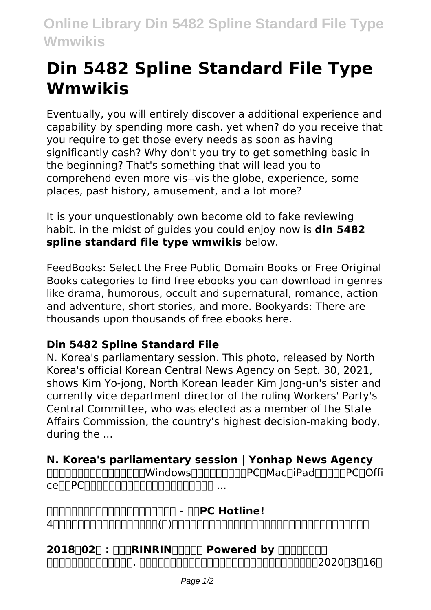## **Din 5482 Spline Standard File Type Wmwikis**

Eventually, you will entirely discover a additional experience and capability by spending more cash. yet when? do you receive that you require to get those every needs as soon as having significantly cash? Why don't you try to get something basic in the beginning? That's something that will lead you to comprehend even more vis--vis the globe, experience, some places, past history, amusement, and a lot more?

It is your unquestionably own become old to fake reviewing habit. in the midst of guides you could enjoy now is **din 5482 spline standard file type wmwikis** below.

FeedBooks: Select the Free Public Domain Books or Free Original Books categories to find free ebooks you can download in genres like drama, humorous, occult and supernatural, romance, action and adventure, short stories, and more. Bookyards: There are thousands upon thousands of free ebooks here.

## **Din 5482 Spline Standard File**

N. Korea's parliamentary session. This photo, released by North Korea's official Korean Central News Agency on Sept. 30, 2021, shows Kim Yo-jong, North Korean leader Kim Jong-un's sister and currently vice department director of the ruling Workers' Party's Central Committee, who was elected as a member of the State Affairs Commission, the country's highest decision-making body, during the ...

## **N. Korea's parliamentary session | Yonhap News Agency**

nnnnnnnnnnnnnnnnwindowsnnnnnnnnnPCnMacniPadnnnnnPCnOffi  $ce$ 

**中古パソコンのおすすめ品やセール情報を紹介 - 中古PC Hotline!** 4人の子供達と旦那。そこに長女の子供(孫)も加わり賑やかな日常を書いた絵日記です!どうぞ見て行ってください

2018**[02] : [[CRINRIN**<sub>000</sub>] Powered by **000000**  $\Box$